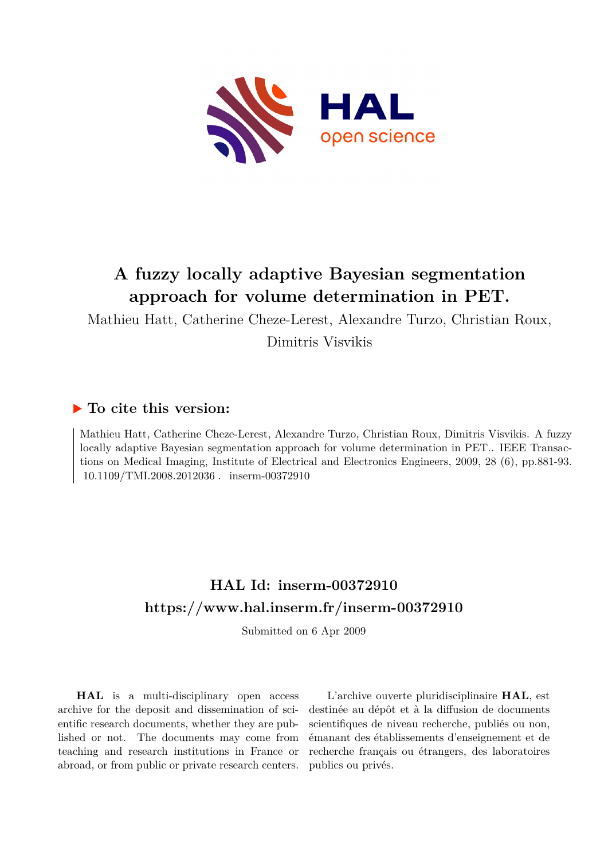

# **A fuzzy locally adaptive Bayesian segmentation approach for volume determination in PET.**

Mathieu Hatt, Catherine Cheze-Lerest, Alexandre Turzo, Christian Roux, Dimitris Visvikis

# **To cite this version:**

Mathieu Hatt, Catherine Cheze-Lerest, Alexandre Turzo, Christian Roux, Dimitris Visvikis. A fuzzy locally adaptive Bayesian segmentation approach for volume determination in PET.. IEEE Transactions on Medical Imaging, Institute of Electrical and Electronics Engineers, 2009, 28 (6), pp.881-93.  $10.1109/TML.2008.2012036$ . inserm-00372910

# **HAL Id: inserm-00372910 <https://www.hal.inserm.fr/inserm-00372910>**

Submitted on 6 Apr 2009

**HAL** is a multi-disciplinary open access archive for the deposit and dissemination of scientific research documents, whether they are published or not. The documents may come from teaching and research institutions in France or abroad, or from public or private research centers.

L'archive ouverte pluridisciplinaire **HAL**, est destinée au dépôt et à la diffusion de documents scientifiques de niveau recherche, publiés ou non, émanant des établissements d'enseignement et de recherche français ou étrangers, des laboratoires publics ou privés.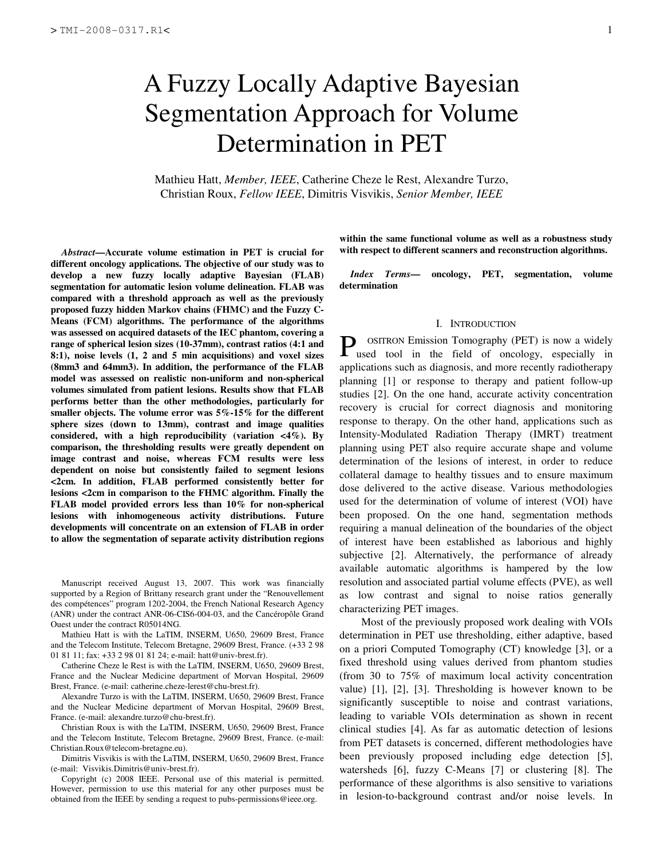# A Fuzzy Locally Adaptive Bayesian Segmentation Approach for Volume Determination in PET

Mathieu Hatt, *Member, IEEE*, Catherine Cheze le Rest, Alexandre Turzo, Christian Roux, *Fellow IEEE*, Dimitris Visvikis, *Senior Member, IEEE*

*Abstract***—Accurate volume estimation in PET is crucial for different oncology applications. The objective of our study was to develop a new fuzzy locally adaptive Bayesian (FLAB) segmentation for automatic lesion volume delineation. FLAB was compared with a threshold approach as well as the previously proposed fuzzy hidden Markov chains (FHMC) and the Fuzzy C-Means (FCM) algorithms. The performance of the algorithms was assessed on acquired datasets of the IEC phantom, covering a range of spherical lesion sizes (10-37mm), contrast ratios (4:1 and 8:1), noise levels (1, 2 and 5 min acquisitions) and voxel sizes (8mm3 and 64mm3). In addition, the performance of the FLAB model was assessed on realistic non-uniform and non-spherical volumes simulated from patient lesions. Results show that FLAB performs better than the other methodologies, particularly for smaller objects. The volume error was 5%-15% for the different sphere sizes (down to 13mm), contrast and image qualities considered, with a high reproducibility (variation <4%). By comparison, the thresholding results were greatly dependent on image contrast and noise, whereas FCM results were less dependent on noise but consistently failed to segment lesions <2cm. In addition, FLAB performed consistently better for lesions <2cm in comparison to the FHMC algorithm. Finally the FLAB model provided errors less than 10% for non-spherical lesions with inhomogeneous activity distributions. Future developments will concentrate on an extension of FLAB in order to allow the segmentation of separate activity distribution regions** 

Manuscript received August 13, 2007. This work was financially supported by a Region of Brittany research grant under the "Renouvellement des compétences" program 1202-2004, the French National Research Agency (ANR) under the contract ANR-06-CIS6-004-03, and the Cancéropôle Grand Ouest under the contract R05014NG.

Mathieu Hatt is with the LaTIM, INSERM, U650, 29609 Brest, France and the Telecom Institute, Telecom Bretagne, 29609 Brest, France. (+33 2 98 01 81 11; fax: +33 2 98 01 81 24; e-mail: hatt@univ-brest.fr).

Catherine Cheze le Rest is with the LaTIM, INSERM, U650, 29609 Brest, France and the Nuclear Medicine department of Morvan Hospital, 29609 Brest, France. (e-mail: catherine.cheze-lerest@chu-brest.fr).

Alexandre Turzo is with the LaTIM, INSERM, U650, 29609 Brest, France and the Nuclear Medicine department of Morvan Hospital, 29609 Brest, France. (e-mail: alexandre.turzo@chu-brest.fr).

Christian Roux is with the LaTIM, INSERM, U650, 29609 Brest, France and the Telecom Institute, Telecom Bretagne, 29609 Brest, France. (e-mail: Christian.Roux@telecom-bretagne.eu).

Dimitris Visvikis is with the LaTIM, INSERM, U650, 29609 Brest, France (e-mail: Visvikis.Dimitris@univ-brest.fr).

Copyright (c) 2008 IEEE. Personal use of this material is permitted. However, permission to use this material for any other purposes must be obtained from the IEEE by sending a request to pubs-permissions@ieee.org.

**within the same functional volume as well as a robustness study with respect to different scanners and reconstruction algorithms.** 

*Index Terms***— oncology, PET, segmentation, volume determination** 

## I. INTRODUCTION

**P** OSITRON Emission Tomography (PET) is now a widely used tool in the field of oncology, especially in used tool in the field of oncology, especially in applications such as diagnosis, and more recently radiotherapy planning [1] or response to therapy and patient follow-up studies [2]. On the one hand, accurate activity concentration recovery is crucial for correct diagnosis and monitoring response to therapy. On the other hand, applications such as Intensity-Modulated Radiation Therapy (IMRT) treatment planning using PET also require accurate shape and volume determination of the lesions of interest, in order to reduce collateral damage to healthy tissues and to ensure maximum dose delivered to the active disease. Various methodologies used for the determination of volume of interest (VOI) have been proposed. On the one hand, segmentation methods requiring a manual delineation of the boundaries of the object of interest have been established as laborious and highly subjective [2]. Alternatively, the performance of already available automatic algorithms is hampered by the low resolution and associated partial volume effects (PVE), as well as low contrast and signal to noise ratios generally characterizing PET images.

 Most of the previously proposed work dealing with VOIs determination in PET use thresholding, either adaptive, based on a priori Computed Tomography (CT) knowledge [3], or a fixed threshold using values derived from phantom studies (from 30 to 75% of maximum local activity concentration value) [1], [2], [3]. Thresholding is however known to be significantly susceptible to noise and contrast variations, leading to variable VOIs determination as shown in recent clinical studies [4]. As far as automatic detection of lesions from PET datasets is concerned, different methodologies have been previously proposed including edge detection [5], watersheds [6], fuzzy C-Means [7] or clustering [8]. The performance of these algorithms is also sensitive to variations in lesion-to-background contrast and/or noise levels. In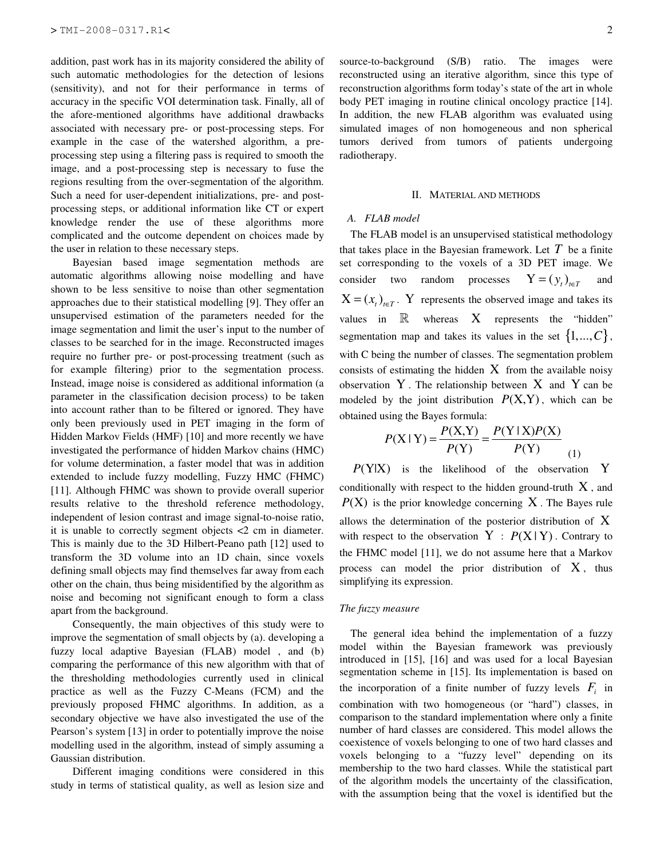addition, past work has in its majority considered the ability of such automatic methodologies for the detection of lesions (sensitivity), and not for their performance in terms of accuracy in the specific VOI determination task. Finally, all of the afore-mentioned algorithms have additional drawbacks associated with necessary pre- or post-processing steps. For example in the case of the watershed algorithm, a preprocessing step using a filtering pass is required to smooth the image, and a post-processing step is necessary to fuse the regions resulting from the over-segmentation of the algorithm. Such a need for user-dependent initializations, pre- and postprocessing steps, or additional information like CT or expert knowledge render the use of these algorithms more complicated and the outcome dependent on choices made by the user in relation to these necessary steps.

 Bayesian based image segmentation methods are automatic algorithms allowing noise modelling and have shown to be less sensitive to noise than other segmentation approaches due to their statistical modelling [9]. They offer an unsupervised estimation of the parameters needed for the image segmentation and limit the user's input to the number of classes to be searched for in the image. Reconstructed images require no further pre- or post-processing treatment (such as for example filtering) prior to the segmentation process. Instead, image noise is considered as additional information (a parameter in the classification decision process) to be taken into account rather than to be filtered or ignored. They have only been previously used in PET imaging in the form of Hidden Markov Fields (HMF) [10] and more recently we have investigated the performance of hidden Markov chains (HMC) for volume determination, a faster model that was in addition extended to include fuzzy modelling, Fuzzy HMC (FHMC) [11]. Although FHMC was shown to provide overall superior results relative to the threshold reference methodology, independent of lesion contrast and image signal-to-noise ratio, it is unable to correctly segment objects <2 cm in diameter. This is mainly due to the 3D Hilbert-Peano path [12] used to transform the 3D volume into an 1D chain, since voxels defining small objects may find themselves far away from each other on the chain, thus being misidentified by the algorithm as noise and becoming not significant enough to form a class apart from the background.

 Consequently, the main objectives of this study were to improve the segmentation of small objects by (a). developing a fuzzy local adaptive Bayesian (FLAB) model , and (b) comparing the performance of this new algorithm with that of the thresholding methodologies currently used in clinical practice as well as the Fuzzy C-Means (FCM) and the previously proposed FHMC algorithms. In addition, as a secondary objective we have also investigated the use of the Pearson's system [13] in order to potentially improve the noise modelling used in the algorithm, instead of simply assuming a Gaussian distribution.

 Different imaging conditions were considered in this study in terms of statistical quality, as well as lesion size and source-to-background (S/B) ratio. The images were reconstructed using an iterative algorithm, since this type of reconstruction algorithms form today's state of the art in whole body PET imaging in routine clinical oncology practice [14]. In addition, the new FLAB algorithm was evaluated using simulated images of non homogeneous and non spherical tumors derived from tumors of patients undergoing radiotherapy.

### II. MATERIAL AND METHODS

# *A. FLAB model*

The FLAB model is an unsupervised statistical methodology that takes place in the Bayesian framework. Let  $T$  be a finite set corresponding to the voxels of a 3D PET image. We consider two random processes  $Y = (y_t)_{t \in T}$  and  $X = (x_t)_{t \in T}$ . Y represents the observed image and takes its values in  $\mathbb R$  whereas  $X$  represents the "hidden" segmentation map and takes its values in the set  $\{1,...,C\}$ , with C being the number of classes. The segmentation problem consists of estimating the hidden  $X$  from the available noisy observation Y. The relationship between  $X$  and Y can be modeled by the joint distribution  $P(X, Y)$ , which can be obtained using the Bayes formula:

$$
P(X \mid Y) = \frac{P(X, Y)}{P(Y)} = \frac{P(Y \mid X)P(X)}{P(Y)}
$$
(1)

*P*(Y|X) is the likelihood of the observation Y conditionally with respect to the hidden ground-truth  $X$ , and  $P(X)$  is the prior knowledge concerning X. The Bayes rule allows the determination of the posterior distribution of  $X$ with respect to the observation  $Y : P(X | Y)$ . Contrary to the FHMC model [11], we do not assume here that a Markov process can model the prior distribution of  $X$ , thus simplifying its expression.

# *The fuzzy measure*

The general idea behind the implementation of a fuzzy model within the Bayesian framework was previously introduced in [15], [16] and was used for a local Bayesian segmentation scheme in [15]. Its implementation is based on the incorporation of a finite number of fuzzy levels  $F_i$  in combination with two homogeneous (or "hard") classes, in comparison to the standard implementation where only a finite number of hard classes are considered. This model allows the coexistence of voxels belonging to one of two hard classes and voxels belonging to a "fuzzy level" depending on its membership to the two hard classes. While the statistical part of the algorithm models the uncertainty of the classification, with the assumption being that the voxel is identified but the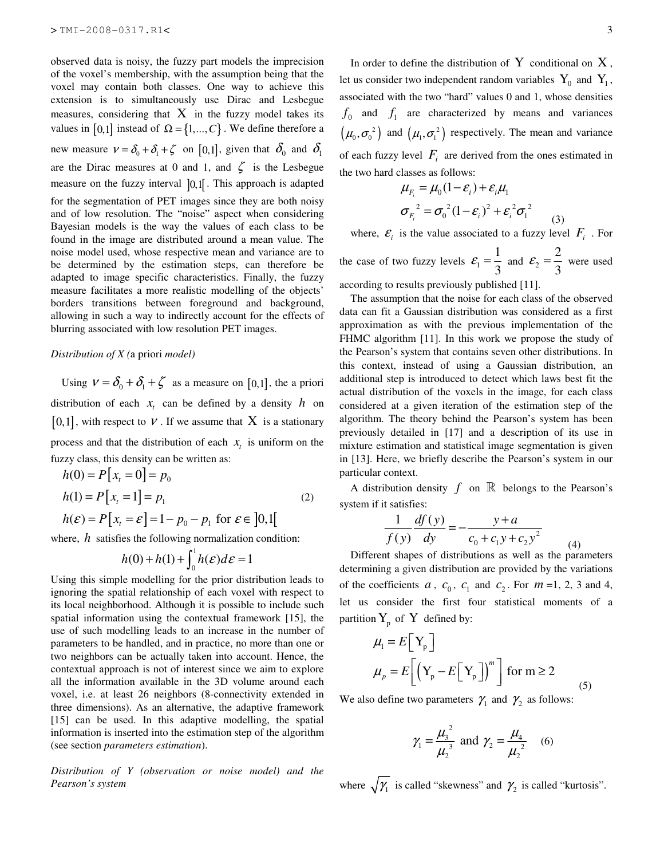observed data is noisy, the fuzzy part models the imprecision of the voxel's membership, with the assumption being that the voxel may contain both classes. One way to achieve this extension is to simultaneously use Dirac and Lesbegue measures, considering that  $X$  in the fuzzy model takes its values in [0,1] instead of  $\Omega = \{1, ..., C\}$ . We define therefore a new measure  $v = \delta_0 + \delta_1 + \zeta$  on [0,1], given that  $\delta_0$  and  $\delta_1$ are the Dirac measures at 0 and 1, and  $\zeta$  is the Lesbegue measure on the fuzzy interval  $[0,1]$ . This approach is adapted for the segmentation of PET images since they are both noisy and of low resolution. The "noise" aspect when considering Bayesian models is the way the values of each class to be found in the image are distributed around a mean value. The noise model used, whose respective mean and variance are to be determined by the estimation steps, can therefore be adapted to image specific characteristics. Finally, the fuzzy measure facilitates a more realistic modelling of the objects' borders transitions between foreground and background, allowing in such a way to indirectly account for the effects of blurring associated with low resolution PET images.

#### *Distribution of X (*a priori *model)*

Using  $V = \delta_0 + \delta_1 + \zeta$  as a measure on [0,1], the a priori distribution of each  $x_t$  can be defined by a density  $h$  on  $[0,1]$ , with respect to V. If we assume that X is a stationary process and that the distribution of each  $x<sub>t</sub>$  is uniform on the fuzzy class, this density can be written as:

$$
h(0) = P[x_t = 0] = p_0
$$
  
\n
$$
h(1) = P[x_t = 1] = p_1
$$
  
\n
$$
h(\varepsilon) = P[x_t = \varepsilon] = 1 - p_0 - p_1 \text{ for } \varepsilon \in [0,1]
$$
\n(2)

where, *h* satisfies the following normalization condition:

$$
h(0) + h(1) + \int_0^1 h(\varepsilon) d\varepsilon = 1
$$

Using this simple modelling for the prior distribution leads to ignoring the spatial relationship of each voxel with respect to its local neighborhood. Although it is possible to include such spatial information using the contextual framework [15], the use of such modelling leads to an increase in the number of parameters to be handled, and in practice, no more than one or two neighbors can be actually taken into account. Hence, the contextual approach is not of interest since we aim to explore all the information available in the 3D volume around each voxel, i.e. at least 26 neighbors (8-connectivity extended in three dimensions). As an alternative, the adaptive framework [15] can be used. In this adaptive modelling, the spatial information is inserted into the estimation step of the algorithm (see section *parameters estimation*).

*Distribution of Y (observation or noise model) and the Pearson's system* 

In order to define the distribution of  $Y$  conditional on  $X$ , let us consider two independent random variables  $Y_0$  and  $Y_1$ , associated with the two "hard" values 0 and 1, whose densities  $f_0$  and  $f_1$  are characterized by means and variances  $(\mu_0, \sigma_0^2)$  and  $(\mu_1, \sigma_1^2)$  respectively. The mean and variance of each fuzzy level  $F_i$  are derived from the ones estimated in the two hard classes as follows:

$$
\mu_{F_i} = \mu_0 (1 - \varepsilon_i) + \varepsilon_i \mu_1
$$
  
\n
$$
\sigma_{F_i}^2 = \sigma_0^2 (1 - \varepsilon_i)^2 + \varepsilon_i^2 \sigma_1^2
$$
 (3)

where,  $\mathcal{E}_i$  is the value associated to a fuzzy level  $F_i$ . For

the case of two fuzzy levels  $\mathcal{E}_1$ 1  $\varepsilon_1 = \frac{1}{3}$  and  $\varepsilon_2 = \frac{2}{3}$ 3  $\varepsilon_2 = \frac{2}{3}$  were used according to results previously published [11].

The assumption that the noise for each class of the observed data can fit a Gaussian distribution was considered as a first approximation as with the previous implementation of the FHMC algorithm [11]. In this work we propose the study of the Pearson's system that contains seven other distributions. In this context, instead of using a Gaussian distribution, an additional step is introduced to detect which laws best fit the actual distribution of the voxels in the image, for each class considered at a given iteration of the estimation step of the algorithm. The theory behind the Pearson's system has been previously detailed in [17] and a description of its use in mixture estimation and statistical image segmentation is given in [13]. Here, we briefly describe the Pearson's system in our particular context.

A distribution density  $f$  on  $\mathbb R$  belongs to the Pearson's system if it satisfies:

$$
\frac{1}{f(y)} \frac{df(y)}{dy} = -\frac{y+a}{c_0 + c_1 y + c_2 y^2}
$$
 (4)

Different shapes of distributions as well as the parameters determining a given distribution are provided by the variations of the coefficients  $a$ ,  $c_0$ ,  $c_1$  and  $c_2$ . For  $m=1, 2, 3$  and 4, let us consider the first four statistical moments of a partition  $Y_p$  of Y defined by:

$$
\mu_{1} = E[Y_{p}]
$$
  
\n
$$
\mu_{p} = E\left[\left(Y_{p} - E[Y_{p}]\right)^{m}\right] \text{ for } m \ge 2
$$
\n(5)

We also define two parameters  $\gamma_1$  and  $\gamma_2$  as follows:

$$
\gamma_1 = \frac{\mu_3^2}{\mu_2^3}
$$
 and  $\gamma_2 = \frac{\mu_4}{\mu_2^2}$  (6)

where  $\sqrt{\gamma_1}$  is called "skewness" and  $\gamma_2$  is called "kurtosis".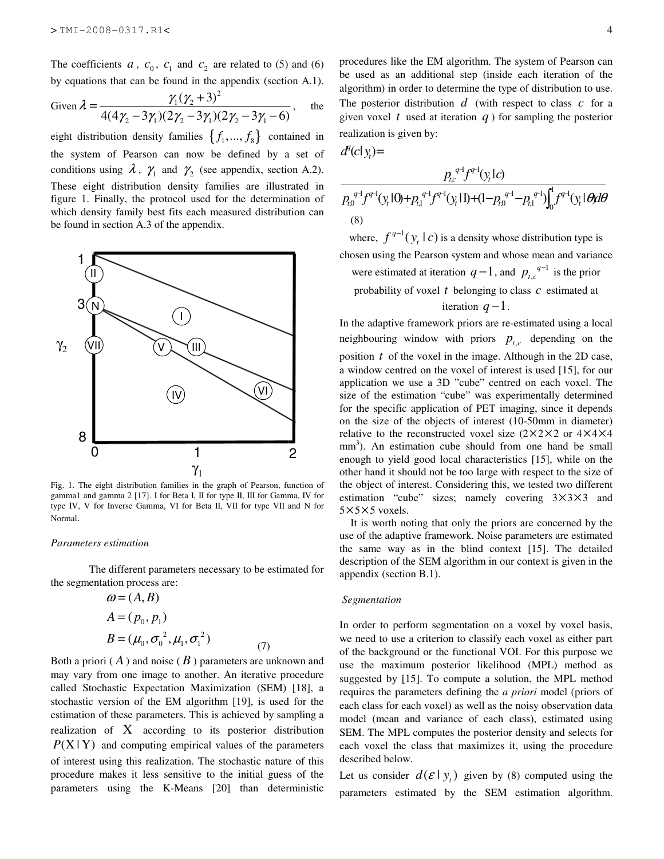The coefficients  $a$ ,  $c_0$ ,  $c_1$  and  $c_2$  are related to (5) and (6) by equations that can be found in the appendix (section A.1).

Given 
$$
\lambda = \frac{\gamma_1 (\gamma_2 + 3)^2}{4(4\gamma_2 - 3\gamma_1)(2\gamma_2 - 3\gamma_1)(2\gamma_2 - 3\gamma_1 - 6)}
$$
, the

eight distribution density families  $\{f_1, ..., f_8\}$  contained in the system of Pearson can now be defined by a set of conditions using  $\lambda$ ,  $\gamma_1$  and  $\gamma_2$  (see appendix, section A.2). These eight distribution density families are illustrated in figure 1. Finally, the protocol used for the determination of which density family best fits each measured distribution can be found in section A.3 of the appendix.



Fig. 1. The eight distribution families in the graph of Pearson, function of gamma1 and gamma 2 [17]. I for Beta I, II for type II, III for Gamma, IV for type IV, V for Inverse Gamma, VI for Beta II, VII for type VII and N for Normal.

#### *Parameters estimation*

The different parameters necessary to be estimated for the segmentation process are:

$$
\omega = (A, B)
$$
  
\n
$$
A = (p_0, p_1)
$$
  
\n
$$
B = (\mu_0, \sigma_0^2, \mu_1, \sigma_1^2)
$$
 (7)

Both a priori  $(A)$  and noise  $(B)$  parameters are unknown and may vary from one image to another. An iterative procedure called Stochastic Expectation Maximization (SEM) [18], a stochastic version of the EM algorithm [19], is used for the estimation of these parameters. This is achieved by sampling a realization of  $X$  according to its posterior distribution  $P(X | Y)$  and computing empirical values of the parameters of interest using this realization. The stochastic nature of this procedure makes it less sensitive to the initial guess of the parameters using the K-Means [20] than deterministic

procedures like the EM algorithm. The system of Pearson can be used as an additional step (inside each iteration of the algorithm) in order to determine the type of distribution to use. The posterior distribution *d* (with respect to class *c* for a given voxel *t* used at iteration *q* ) for sampling the posterior realization is given by:

$$
d^q(c|y) =
$$

$$
\frac{p_{t,c}^{q+1}f^{q+1}(\mathbf{y}_t|c)}{p_{t,0}^{q+1}f^{q+1}(\mathbf{y}_t|0)+p_{t,1}^{q+1}f^{q+1}(\mathbf{y}_t|1)+(1-p_{t,0}^{q+1}-p_{t,1}^{q+1})\int_0^1 f^{q+1}(\mathbf{y}_t|\boldsymbol{\theta})d\boldsymbol{\theta}}
$$
\n(8)

where,  $f^{q-1}(y_t | c)$  is a density whose distribution type is chosen using the Pearson system and whose mean and variance were estimated at iteration  $q-1$ , and  $p_{t,c}^{q-1}$  $p_{t,c}^{q-1}$  is the prior

probability of voxel *t* belonging to class *c* estimated at iteration  $q-1$ .

In the adaptive framework priors are re-estimated using a local neighbouring window with priors  $p_{t,c}$  depending on the position *t* of the voxel in the image. Although in the 2D case, a window centred on the voxel of interest is used [15], for our application we use a 3D "cube" centred on each voxel. The size of the estimation "cube" was experimentally determined for the specific application of PET imaging, since it depends on the size of the objects of interest (10-50mm in diameter) relative to the reconstructed voxel size (2×2×2 or 4×4×4 mm<sup>3</sup>). An estimation cube should from one hand be small enough to yield good local characteristics [15], while on the other hand it should not be too large with respect to the size of the object of interest. Considering this, we tested two different estimation "cube" sizes; namely covering 3×3×3 and 5×5×5 voxels.

 It is worth noting that only the priors are concerned by the use of the adaptive framework. Noise parameters are estimated the same way as in the blind context [15]. The detailed description of the SEM algorithm in our context is given in the appendix (section B.1).

#### *Segmentation*

In order to perform segmentation on a voxel by voxel basis, we need to use a criterion to classify each voxel as either part of the background or the functional VOI. For this purpose we use the maximum posterior likelihood (MPL) method as suggested by [15]. To compute a solution, the MPL method requires the parameters defining the *a priori* model (priors of each class for each voxel) as well as the noisy observation data model (mean and variance of each class), estimated using SEM. The MPL computes the posterior density and selects for each voxel the class that maximizes it, using the procedure described below.

Let us consider  $d(\mathcal{E} | y_t)$  given by (8) computed using the parameters estimated by the SEM estimation algorithm.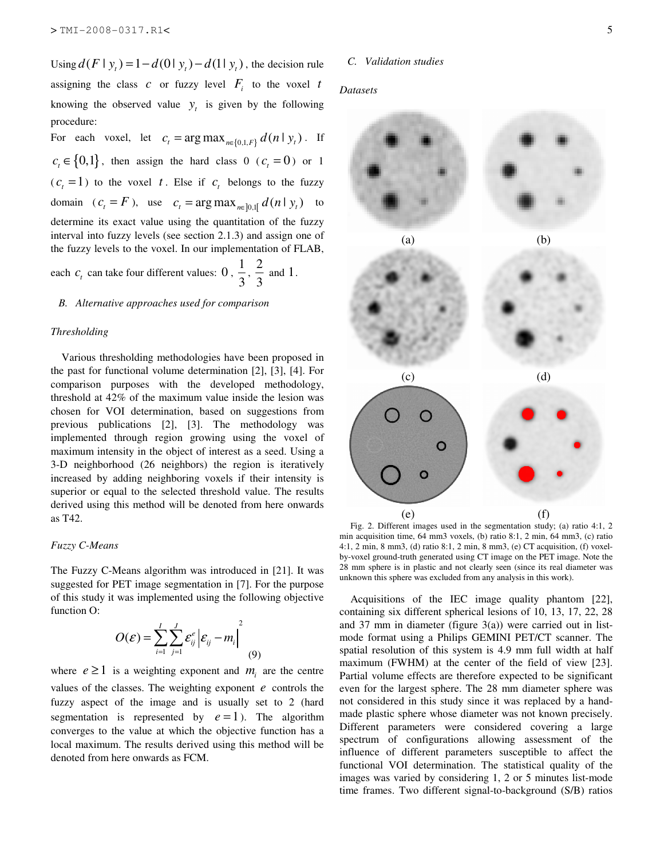Using  $d(F | y_t) = 1 - d(0 | y_t) - d(1 | y_t)$ , the decision rule assigning the class  $c$  or fuzzy level  $F_i$  to the voxel  $t$ knowing the observed value  $y_t$  is given by the following procedure:

For each voxel, let  $c_t = \arg \max_{n \in \{0, 1, F\}} d(n | y_t)$ . If  $c_t \in \{0,1\}$ , then assign the hard class 0 ( $c_t = 0$ ) or 1  $(c<sub>t</sub> = 1)$  to the voxel *t*. Else if  $c<sub>t</sub>$  belongs to the fuzzy domain  $(c_t = F)$ , use  $c_t = \arg \max_{n \in [0,1]} d(n | y_t)$  to determine its exact value using the quantitation of the fuzzy interval into fuzzy levels (see section 2.1.3) and assign one of the fuzzy levels to the voxel. In our implementation of FLAB,

each  $c_t$  can take four different values: 0,  $\frac{1}{2}$  $\frac{1}{3}$ ,  $\frac{2}{3}$ 3 and 1.

# *B. Alternative approaches used for comparison*

#### *Thresholding*

Various thresholding methodologies have been proposed in the past for functional volume determination [2], [3], [4]. For comparison purposes with the developed methodology, threshold at 42% of the maximum value inside the lesion was chosen for VOI determination, based on suggestions from previous publications [2], [3]. The methodology was implemented through region growing using the voxel of maximum intensity in the object of interest as a seed. Using a 3-D neighborhood (26 neighbors) the region is iteratively increased by adding neighboring voxels if their intensity is superior or equal to the selected threshold value. The results derived using this method will be denoted from here onwards as T42.

#### *Fuzzy C-Means*

The Fuzzy C-Means algorithm was introduced in [21]. It was suggested for PET image segmentation in [7]. For the purpose of this study it was implemented using the following objective function O:

$$
O(\mathcal{E}) = \sum_{i=1}^{I} \sum_{j=1}^{J} \mathcal{E}_{ij}^e \left| \mathcal{E}_{ij} - m_i \right|^2 \tag{9}
$$

where  $e \ge 1$  is a weighting exponent and  $m<sub>i</sub>$  are the centre values of the classes. The weighting exponent *e* controls the fuzzy aspect of the image and is usually set to 2 (hard segmentation is represented by  $e = 1$ ). The algorithm converges to the value at which the objective function has a local maximum. The results derived using this method will be denoted from here onwards as FCM.

#### *C. Validation studies*



Fig. 2. Different images used in the segmentation study; (a) ratio 4:1, 2 min acquisition time, 64 mm3 voxels, (b) ratio 8:1, 2 min, 64 mm3, (c) ratio 4:1, 2 min, 8 mm3, (d) ratio 8:1, 2 min, 8 mm3, (e) CT acquisition, (f) voxelby-voxel ground-truth generated using CT image on the PET image. Note the 28 mm sphere is in plastic and not clearly seen (since its real diameter was unknown this sphere was excluded from any analysis in this work).

Acquisitions of the IEC image quality phantom [22], containing six different spherical lesions of 10, 13, 17, 22, 28 and 37 mm in diameter (figure  $3(a)$ ) were carried out in listmode format using a Philips GEMINI PET/CT scanner. The spatial resolution of this system is 4.9 mm full width at half maximum (FWHM) at the center of the field of view [23]. Partial volume effects are therefore expected to be significant even for the largest sphere. The 28 mm diameter sphere was not considered in this study since it was replaced by a handmade plastic sphere whose diameter was not known precisely. Different parameters were considered covering a large spectrum of configurations allowing assessment of the influence of different parameters susceptible to affect the functional VOI determination. The statistical quality of the images was varied by considering 1, 2 or 5 minutes list-mode time frames. Two different signal-to-background (S/B) ratios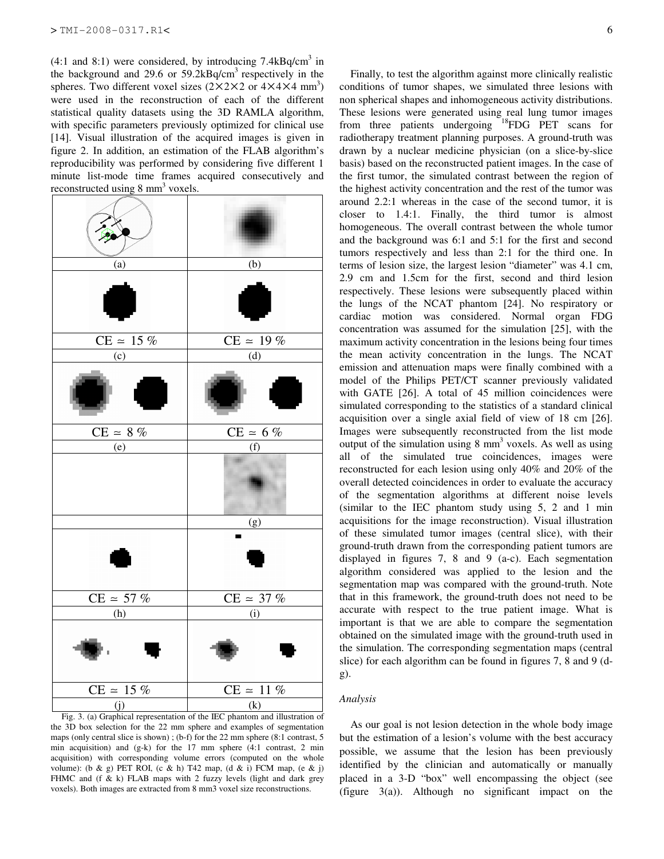$(4:1 \text{ and } 8:1)$  were considered, by introducing 7.4kBq/cm<sup>3</sup> in the background and 29.6 or  $59.2 \text{kBg/cm}^3$  respectively in the spheres. Two different voxel sizes  $(2 \times 2 \times 2 \text{ or } 4 \times 4 \times 4 \text{ mm}^3)$ were used in the reconstruction of each of the different statistical quality datasets using the 3D RAMLA algorithm, with specific parameters previously optimized for clinical use [14]. Visual illustration of the acquired images is given in figure 2. In addition, an estimation of the FLAB algorithm's reproducibility was performed by considering five different 1 minute list-mode time frames acquired consecutively and reconstructed using  $8 \text{ mm}^3$  voxels.



Fig. 3. (a) Graphical representation of the IEC phantom and illustration of the 3D box selection for the 22 mm sphere and examples of segmentation maps (only central slice is shown) ; (b-f) for the 22 mm sphere (8:1 contrast, 5 min acquisition) and (g-k) for the 17 mm sphere (4:1 contrast, 2 min acquisition) with corresponding volume errors (computed on the whole volume): (b & g) PET ROI, (c & h) T42 map, (d & i) FCM map, (e & j) FHMC and  $(f \& k)$  FLAB maps with 2 fuzzy levels (light and dark grey voxels). Both images are extracted from 8 mm3 voxel size reconstructions.

 Finally, to test the algorithm against more clinically realistic conditions of tumor shapes, we simulated three lesions with non spherical shapes and inhomogeneous activity distributions. These lesions were generated using real lung tumor images from three patients undergoing <sup>18</sup>FDG PET scans for radiotherapy treatment planning purposes. A ground-truth was drawn by a nuclear medicine physician (on a slice-by-slice basis) based on the reconstructed patient images. In the case of the first tumor, the simulated contrast between the region of the highest activity concentration and the rest of the tumor was around 2.2:1 whereas in the case of the second tumor, it is closer to 1.4:1. Finally, the third tumor is almost homogeneous. The overall contrast between the whole tumor and the background was 6:1 and 5:1 for the first and second tumors respectively and less than 2:1 for the third one. In terms of lesion size, the largest lesion "diameter" was 4.1 cm, 2.9 cm and 1.5cm for the first, second and third lesion respectively. These lesions were subsequently placed within the lungs of the NCAT phantom [24]. No respiratory or cardiac motion was considered. Normal organ FDG concentration was assumed for the simulation [25], with the maximum activity concentration in the lesions being four times the mean activity concentration in the lungs. The NCAT emission and attenuation maps were finally combined with a model of the Philips PET/CT scanner previously validated with GATE [26]. A total of 45 million coincidences were simulated corresponding to the statistics of a standard clinical acquisition over a single axial field of view of 18 cm [26]. Images were subsequently reconstructed from the list mode output of the simulation using  $8 \text{ mm}^3$  voxels. As well as using all of the simulated true coincidences, images were reconstructed for each lesion using only 40% and 20% of the overall detected coincidences in order to evaluate the accuracy of the segmentation algorithms at different noise levels (similar to the IEC phantom study using 5, 2 and 1 min acquisitions for the image reconstruction). Visual illustration of these simulated tumor images (central slice), with their ground-truth drawn from the corresponding patient tumors are displayed in figures 7, 8 and 9 (a-c). Each segmentation algorithm considered was applied to the lesion and the segmentation map was compared with the ground-truth. Note that in this framework, the ground-truth does not need to be accurate with respect to the true patient image. What is important is that we are able to compare the segmentation obtained on the simulated image with the ground-truth used in the simulation. The corresponding segmentation maps (central slice) for each algorithm can be found in figures 7, 8 and 9 (dg).

# *Analysis*

As our goal is not lesion detection in the whole body image but the estimation of a lesion's volume with the best accuracy possible, we assume that the lesion has been previously identified by the clinician and automatically or manually placed in a 3-D "box" well encompassing the object (see (figure 3(a)). Although no significant impact on the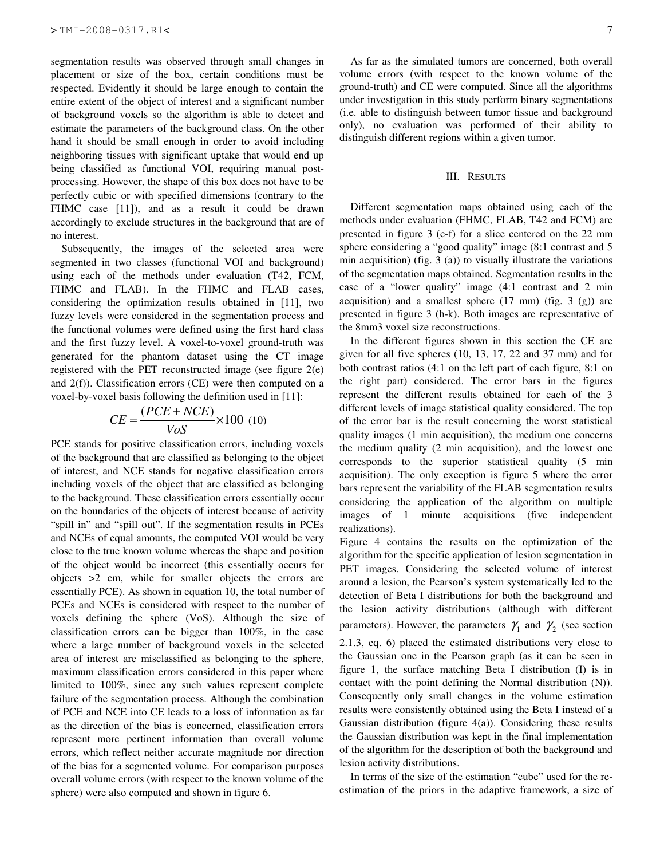segmentation results was observed through small changes in placement or size of the box, certain conditions must be respected. Evidently it should be large enough to contain the entire extent of the object of interest and a significant number of background voxels so the algorithm is able to detect and estimate the parameters of the background class. On the other hand it should be small enough in order to avoid including neighboring tissues with significant uptake that would end up being classified as functional VOI, requiring manual postprocessing. However, the shape of this box does not have to be perfectly cubic or with specified dimensions (contrary to the FHMC case [11]), and as a result it could be drawn accordingly to exclude structures in the background that are of no interest.

 Subsequently, the images of the selected area were segmented in two classes (functional VOI and background) using each of the methods under evaluation (T42, FCM, FHMC and FLAB). In the FHMC and FLAB cases, considering the optimization results obtained in [11], two fuzzy levels were considered in the segmentation process and the functional volumes were defined using the first hard class and the first fuzzy level. A voxel-to-voxel ground-truth was generated for the phantom dataset using the CT image registered with the PET reconstructed image (see figure 2(e) and  $2(f)$ ). Classification errors (CE) were then computed on a voxel-by-voxel basis following the definition used in [11]:

$$
CE = \frac{(PCE + NCE)}{VoS} \times 100 \ (10)
$$

PCE stands for positive classification errors, including voxels of the background that are classified as belonging to the object of interest, and NCE stands for negative classification errors including voxels of the object that are classified as belonging to the background. These classification errors essentially occur on the boundaries of the objects of interest because of activity "spill in" and "spill out". If the segmentation results in PCEs and NCEs of equal amounts, the computed VOI would be very close to the true known volume whereas the shape and position of the object would be incorrect (this essentially occurs for objects >2 cm, while for smaller objects the errors are essentially PCE). As shown in equation 10, the total number of PCEs and NCEs is considered with respect to the number of voxels defining the sphere (VoS). Although the size of classification errors can be bigger than 100%, in the case where a large number of background voxels in the selected area of interest are misclassified as belonging to the sphere, maximum classification errors considered in this paper where limited to 100%, since any such values represent complete failure of the segmentation process. Although the combination of PCE and NCE into CE leads to a loss of information as far as the direction of the bias is concerned, classification errors represent more pertinent information than overall volume errors, which reflect neither accurate magnitude nor direction of the bias for a segmented volume. For comparison purposes overall volume errors (with respect to the known volume of the sphere) were also computed and shown in figure 6.

 As far as the simulated tumors are concerned, both overall volume errors (with respect to the known volume of the ground-truth) and CE were computed. Since all the algorithms under investigation in this study perform binary segmentations (i.e. able to distinguish between tumor tissue and background only), no evaluation was performed of their ability to distinguish different regions within a given tumor.

# III. RESULTS

Different segmentation maps obtained using each of the methods under evaluation (FHMC, FLAB, T42 and FCM) are presented in figure 3 (c-f) for a slice centered on the 22 mm sphere considering a "good quality" image (8:1 contrast and 5 min acquisition) (fig. 3 (a)) to visually illustrate the variations of the segmentation maps obtained. Segmentation results in the case of a "lower quality" image (4:1 contrast and 2 min acquisition) and a smallest sphere  $(17 \text{ mm})$  (fig. 3  $(g)$ ) are presented in figure 3 (h-k). Both images are representative of the 8mm3 voxel size reconstructions.

 In the different figures shown in this section the CE are given for all five spheres (10, 13, 17, 22 and 37 mm) and for both contrast ratios (4:1 on the left part of each figure, 8:1 on the right part) considered. The error bars in the figures represent the different results obtained for each of the 3 different levels of image statistical quality considered. The top of the error bar is the result concerning the worst statistical quality images (1 min acquisition), the medium one concerns the medium quality (2 min acquisition), and the lowest one corresponds to the superior statistical quality (5 min acquisition). The only exception is figure 5 where the error bars represent the variability of the FLAB segmentation results considering the application of the algorithm on multiple images of 1 minute acquisitions (five independent realizations).

Figure 4 contains the results on the optimization of the algorithm for the specific application of lesion segmentation in PET images. Considering the selected volume of interest around a lesion, the Pearson's system systematically led to the detection of Beta I distributions for both the background and the lesion activity distributions (although with different parameters). However, the parameters  $\gamma_1$  and  $\gamma_2$  (see section 2.1.3, eq. 6) placed the estimated distributions very close to the Gaussian one in the Pearson graph (as it can be seen in figure 1, the surface matching Beta I distribution (I) is in contact with the point defining the Normal distribution (N)). Consequently only small changes in the volume estimation results were consistently obtained using the Beta I instead of a Gaussian distribution (figure 4(a)). Considering these results the Gaussian distribution was kept in the final implementation of the algorithm for the description of both the background and lesion activity distributions.

In terms of the size of the estimation "cube" used for the reestimation of the priors in the adaptive framework, a size of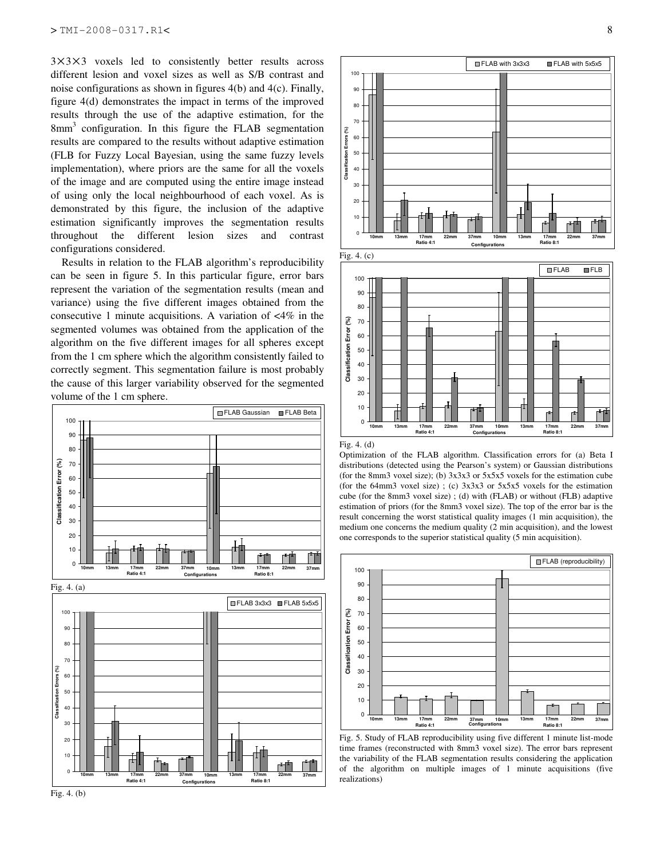3×3×3 voxels led to consistently better results across different lesion and voxel sizes as well as S/B contrast and noise configurations as shown in figures 4(b) and 4(c). Finally, figure 4(d) demonstrates the impact in terms of the improved results through the use of the adaptive estimation, for the 8mm<sup>3</sup> configuration. In this figure the FLAB segmentation results are compared to the results without adaptive estimation (FLB for Fuzzy Local Bayesian, using the same fuzzy levels implementation), where priors are the same for all the voxels of the image and are computed using the entire image instead of using only the local neighbourhood of each voxel. As is demonstrated by this figure, the inclusion of the adaptive estimation significantly improves the segmentation results throughout the different lesion sizes and contrast configurations considered.

Results in relation to the FLAB algorithm's reproducibility can be seen in figure 5. In this particular figure, error bars represent the variation of the segmentation results (mean and variance) using the five different images obtained from the consecutive 1 minute acquisitions. A variation of <4% in the segmented volumes was obtained from the application of the algorithm on the five different images for all spheres except from the 1 cm sphere which the algorithm consistently failed to correctly segment. This segmentation failure is most probably the cause of this larger variability observed for the segmented volume of the 1 cm sphere.









Optimization of the FLAB algorithm. Classification errors for (a) Beta I distributions (detected using the Pearson's system) or Gaussian distributions (for the 8mm3 voxel size); (b) 3x3x3 or 5x5x5 voxels for the estimation cube (for the 64mm3 voxel size) ; (c)  $3x3x3$  or  $5x5x5$  voxels for the estimation cube (for the 8mm3 voxel size) ; (d) with (FLAB) or without (FLB) adaptive estimation of priors (for the 8mm3 voxel size). The top of the error bar is the result concerning the worst statistical quality images (1 min acquisition), the medium one concerns the medium quality (2 min acquisition), and the lowest one corresponds to the superior statistical quality (5 min acquisition).



Fig. 5. Study of FLAB reproducibility using five different 1 minute list-mode time frames (reconstructed with 8mm3 voxel size). The error bars represent the variability of the FLAB segmentation results considering the application of the algorithm on multiple images of 1 minute acquisitions (five realizations)

Fig. 4. (b)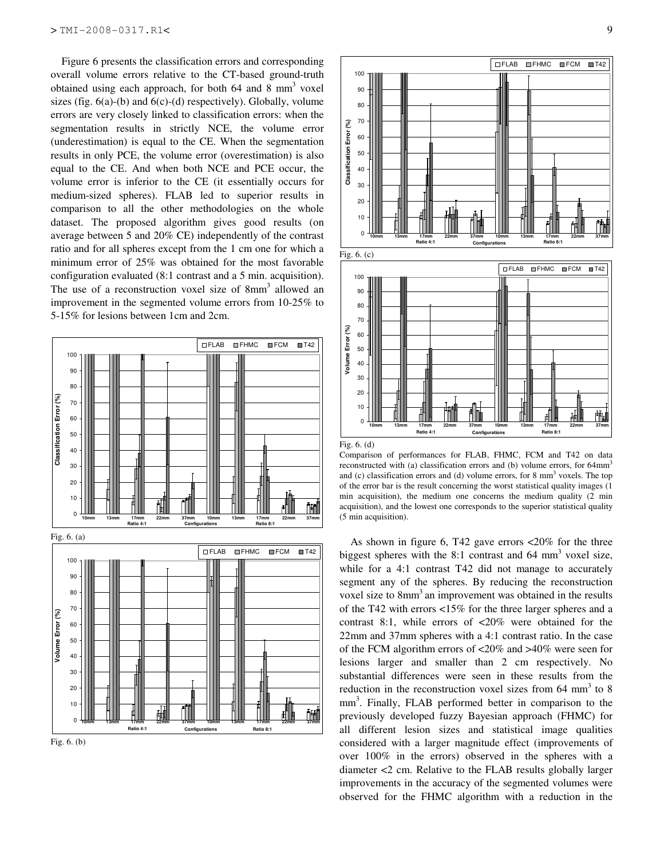Figure 6 presents the classification errors and corresponding overall volume errors relative to the CT-based ground-truth obtained using each approach, for both 64 and 8 mm<sup>3</sup> voxel sizes (fig. 6(a)-(b) and 6(c)-(d) respectively). Globally, volume errors are very closely linked to classification errors: when the segmentation results in strictly NCE, the volume error (underestimation) is equal to the CE. When the segmentation results in only PCE, the volume error (overestimation) is also equal to the CE. And when both NCE and PCE occur, the volume error is inferior to the CE (it essentially occurs for medium-sized spheres). FLAB led to superior results in comparison to all the other methodologies on the whole dataset. The proposed algorithm gives good results (on average between 5 and 20% CE) independently of the contrast ratio and for all spheres except from the 1 cm one for which a minimum error of 25% was obtained for the most favorable configuration evaluated (8:1 contrast and a 5 min. acquisition). The use of a reconstruction voxel size of 8mm<sup>3</sup> allowed an improvement in the segmented volume errors from 10-25% to 5-15% for lesions between 1cm and 2cm.



Fig. 6. (b)





Comparison of performances for FLAB, FHMC, FCM and T42 on data reconstructed with (a) classification errors and (b) volume errors, for 64mm<sup>3</sup> and (c) classification errors and (d) volume errors, for  $8 \text{ mm}^3$  voxels. The top of the error bar is the result concerning the worst statistical quality images (1 min acquisition), the medium one concerns the medium quality (2 min acquisition), and the lowest one corresponds to the superior statistical quality (5 min acquisition).

 As shown in figure 6, T42 gave errors <20% for the three biggest spheres with the 8:1 contrast and  $64 \text{ mm}^3$  voxel size, while for a 4:1 contrast T42 did not manage to accurately segment any of the spheres. By reducing the reconstruction voxel size to 8mm<sup>3</sup> an improvement was obtained in the results of the T42 with errors <15% for the three larger spheres and a contrast 8:1, while errors of <20% were obtained for the 22mm and 37mm spheres with a 4:1 contrast ratio. In the case of the FCM algorithm errors of <20% and >40% were seen for lesions larger and smaller than 2 cm respectively. No substantial differences were seen in these results from the reduction in the reconstruction voxel sizes from  $64 \text{ mm}^3$  to  $8$ mm<sup>3</sup>. Finally, FLAB performed better in comparison to the previously developed fuzzy Bayesian approach (FHMC) for all different lesion sizes and statistical image qualities considered with a larger magnitude effect (improvements of over 100% in the errors) observed in the spheres with a diameter <2 cm. Relative to the FLAB results globally larger improvements in the accuracy of the segmented volumes were observed for the FHMC algorithm with a reduction in the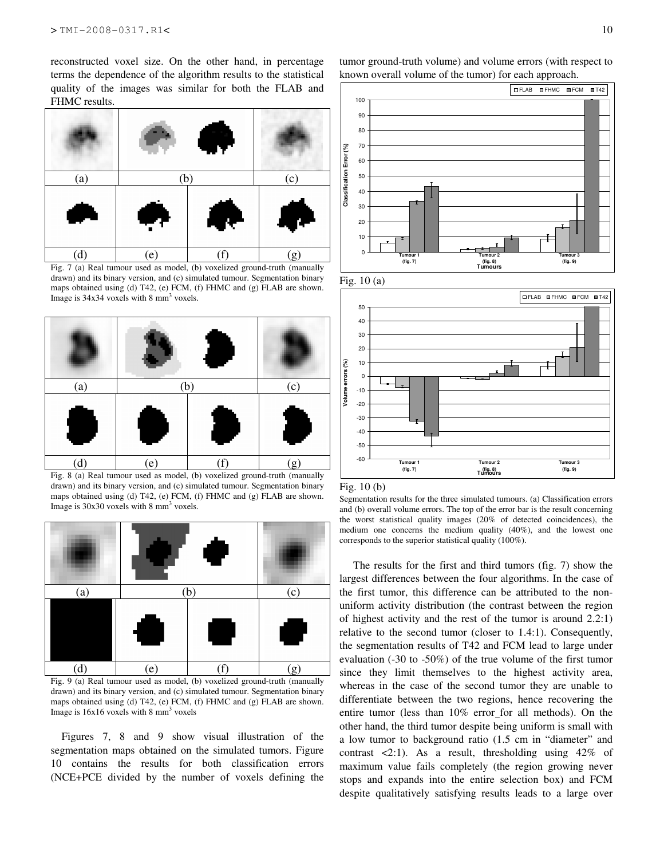reconstructed voxel size. On the other hand, in percentage terms the dependence of the algorithm results to the statistical quality of the images was similar for both the FLAB and FHMC results.



Fig. 7 (a) Real tumour used as model, (b) voxelized ground-truth (manually drawn) and its binary version, and (c) simulated tumour. Segmentation binary maps obtained using (d) T42, (e) FCM, (f) FHMC and (g) FLAB are shown. Image is  $34x34$  voxels with 8 mm<sup>3</sup> voxels.



Fig. 8 (a) Real tumour used as model, (b) voxelized ground-truth (manually drawn) and its binary version, and (c) simulated tumour. Segmentation binary maps obtained using (d) T42, (e) FCM, (f) FHMC and (g) FLAB are shown. Image is  $30x30$  voxels with 8 mm<sup>3</sup> voxels.



Fig. 9 (a) Real tumour used as model, (b) voxelized ground-truth (manually drawn) and its binary version, and (c) simulated tumour. Segmentation binary maps obtained using (d) T42, (e) FCM, (f) FHMC and (g) FLAB are shown. Image is  $16x16$  voxels with 8 mm<sup>3</sup> voxels

Figures 7, 8 and 9 show visual illustration of the segmentation maps obtained on the simulated tumors. Figure 10 contains the results for both classification errors (NCE+PCE divided by the number of voxels defining the tumor ground-truth volume) and volume errors (with respect to known overall volume of the tumor) for each approach.







Segmentation results for the three simulated tumours. (a) Classification errors and (b) overall volume errors. The top of the error bar is the result concerning the worst statistical quality images (20% of detected coincidences), the medium one concerns the medium quality (40%), and the lowest one corresponds to the superior statistical quality (100%).

 The results for the first and third tumors (fig. 7) show the largest differences between the four algorithms. In the case of the first tumor, this difference can be attributed to the nonuniform activity distribution (the contrast between the region of highest activity and the rest of the tumor is around 2.2:1) relative to the second tumor (closer to 1.4:1). Consequently, the segmentation results of T42 and FCM lead to large under evaluation (-30 to -50%) of the true volume of the first tumor since they limit themselves to the highest activity area, whereas in the case of the second tumor they are unable to differentiate between the two regions, hence recovering the entire tumor (less than 10% error for all methods). On the other hand, the third tumor despite being uniform is small with a low tumor to background ratio (1.5 cm in "diameter" and contrast  $\langle 2:1 \rangle$ . As a result, thresholding using  $42\%$  of maximum value fails completely (the region growing never stops and expands into the entire selection box) and FCM despite qualitatively satisfying results leads to a large over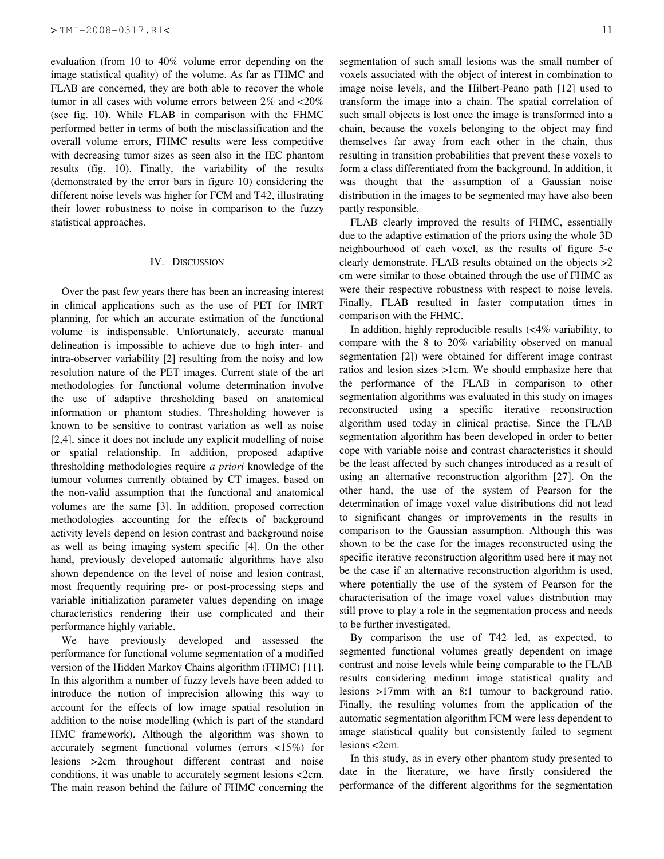evaluation (from 10 to 40% volume error depending on the image statistical quality) of the volume. As far as FHMC and FLAB are concerned, they are both able to recover the whole tumor in all cases with volume errors between 2% and <20% (see fig. 10). While FLAB in comparison with the FHMC performed better in terms of both the misclassification and the overall volume errors, FHMC results were less competitive with decreasing tumor sizes as seen also in the IEC phantom results (fig. 10). Finally, the variability of the results (demonstrated by the error bars in figure 10) considering the different noise levels was higher for FCM and T42, illustrating their lower robustness to noise in comparison to the fuzzy statistical approaches.

# IV. DISCUSSION

 Over the past few years there has been an increasing interest in clinical applications such as the use of PET for IMRT planning, for which an accurate estimation of the functional volume is indispensable. Unfortunately, accurate manual delineation is impossible to achieve due to high inter- and intra-observer variability [2] resulting from the noisy and low resolution nature of the PET images. Current state of the art methodologies for functional volume determination involve the use of adaptive thresholding based on anatomical information or phantom studies. Thresholding however is known to be sensitive to contrast variation as well as noise [2,4], since it does not include any explicit modelling of noise or spatial relationship. In addition, proposed adaptive thresholding methodologies require *a priori* knowledge of the tumour volumes currently obtained by CT images, based on the non-valid assumption that the functional and anatomical volumes are the same [3]. In addition, proposed correction methodologies accounting for the effects of background activity levels depend on lesion contrast and background noise as well as being imaging system specific [4]. On the other hand, previously developed automatic algorithms have also shown dependence on the level of noise and lesion contrast, most frequently requiring pre- or post-processing steps and variable initialization parameter values depending on image characteristics rendering their use complicated and their performance highly variable.

 We have previously developed and assessed the performance for functional volume segmentation of a modified version of the Hidden Markov Chains algorithm (FHMC) [11]. In this algorithm a number of fuzzy levels have been added to introduce the notion of imprecision allowing this way to account for the effects of low image spatial resolution in addition to the noise modelling (which is part of the standard HMC framework). Although the algorithm was shown to accurately segment functional volumes (errors <15%) for lesions >2cm throughout different contrast and noise conditions, it was unable to accurately segment lesions <2cm. The main reason behind the failure of FHMC concerning the segmentation of such small lesions was the small number of voxels associated with the object of interest in combination to image noise levels, and the Hilbert-Peano path [12] used to transform the image into a chain. The spatial correlation of such small objects is lost once the image is transformed into a chain, because the voxels belonging to the object may find themselves far away from each other in the chain, thus resulting in transition probabilities that prevent these voxels to form a class differentiated from the background. In addition, it was thought that the assumption of a Gaussian noise distribution in the images to be segmented may have also been partly responsible.

 FLAB clearly improved the results of FHMC, essentially due to the adaptive estimation of the priors using the whole 3D neighbourhood of each voxel, as the results of figure 5-c clearly demonstrate. FLAB results obtained on the objects >2 cm were similar to those obtained through the use of FHMC as were their respective robustness with respect to noise levels. Finally, FLAB resulted in faster computation times in comparison with the FHMC.

 In addition, highly reproducible results (<4% variability, to compare with the 8 to 20% variability observed on manual segmentation [2]) were obtained for different image contrast ratios and lesion sizes >1cm. We should emphasize here that the performance of the FLAB in comparison to other segmentation algorithms was evaluated in this study on images reconstructed using a specific iterative reconstruction algorithm used today in clinical practise. Since the FLAB segmentation algorithm has been developed in order to better cope with variable noise and contrast characteristics it should be the least affected by such changes introduced as a result of using an alternative reconstruction algorithm [27]. On the other hand, the use of the system of Pearson for the determination of image voxel value distributions did not lead to significant changes or improvements in the results in comparison to the Gaussian assumption. Although this was shown to be the case for the images reconstructed using the specific iterative reconstruction algorithm used here it may not be the case if an alternative reconstruction algorithm is used, where potentially the use of the system of Pearson for the characterisation of the image voxel values distribution may still prove to play a role in the segmentation process and needs to be further investigated.

 By comparison the use of T42 led, as expected, to segmented functional volumes greatly dependent on image contrast and noise levels while being comparable to the FLAB results considering medium image statistical quality and lesions >17mm with an 8:1 tumour to background ratio. Finally, the resulting volumes from the application of the automatic segmentation algorithm FCM were less dependent to image statistical quality but consistently failed to segment lesions <2cm.

 In this study, as in every other phantom study presented to date in the literature, we have firstly considered the performance of the different algorithms for the segmentation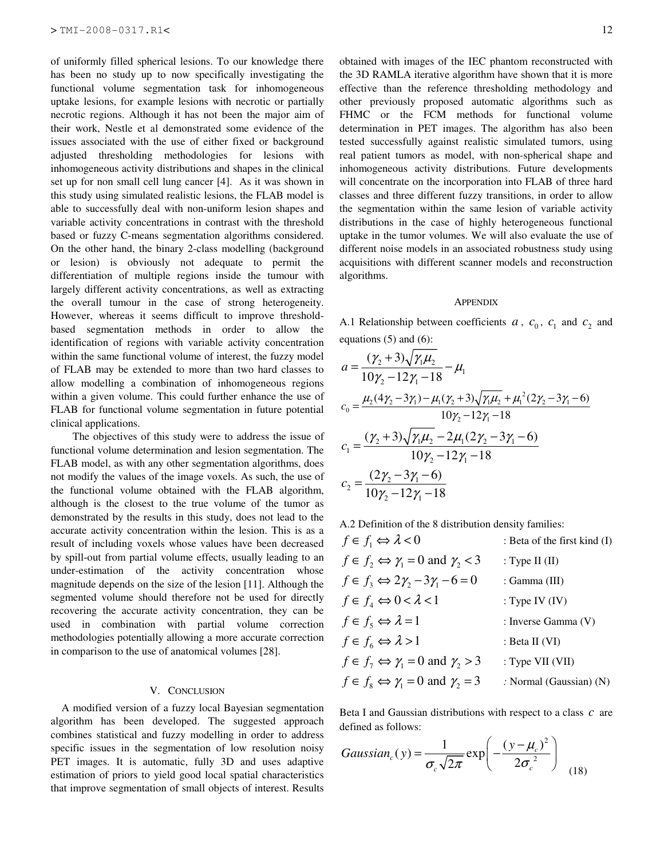of uniformly filled spherical lesions. To our knowledge there has been no study up to now specifically investigating the functional volume segmentation task for inhomogeneous uptake lesions, for example lesions with necrotic or partially necrotic regions. Although it has not been the major aim of their work, Nestle et al demonstrated some evidence of the issues associated with the use of either fixed or background adjusted thresholding methodologies for lesions with inhomogeneous activity distributions and shapes in the clinical set up for non small cell lung cancer [4]. As it was shown in this study using simulated realistic lesions, the FLAB model is able to successfully deal with non-uniform lesion shapes and variable activity concentrations in contrast with the threshold based or fuzzy C-means segmentation algorithms considered. On the other hand, the binary 2-class modelling (background or lesion) is obviously not adequate to permit the differentiation of multiple regions inside the tumour with largely different activity concentrations, as well as extracting the overall tumour in the case of strong heterogeneity. However, whereas it seems difficult to improve thresholdbased segmentation methods in order to allow the identification of regions with variable activity concentration within the same functional volume of interest, the fuzzy model of FLAB may be extended to more than two hard classes to allow modelling a combination of inhomogeneous regions within a given volume. This could further enhance the use of FLAB for functional volume segmentation in future potential clinical applications.

 The objectives of this study were to address the issue of functional volume determination and lesion segmentation. The FLAB model, as with any other segmentation algorithms, does not modify the values of the image voxels. As such, the use of the functional volume obtained with the FLAB algorithm, although is the closest to the true volume of the tumor as demonstrated by the results in this study, does not lead to the accurate activity concentration within the lesion. This is as a result of including voxels whose values have been decreased by spill-out from partial volume effects, usually leading to an under-estimation of the activity concentration whose magnitude depends on the size of the lesion [11]. Although the segmented volume should therefore not be used for directly recovering the accurate activity concentration, they can be used in combination with partial volume correction methodologies potentially allowing a more accurate correction in comparison to the use of anatomical volumes [28].

#### V. CONCLUSION

A modified version of a fuzzy local Bayesian segmentation algorithm has been developed. The suggested approach combines statistical and fuzzy modelling in order to address specific issues in the segmentation of low resolution noisy PET images. It is automatic, fully 3D and uses adaptive estimation of priors to yield good local spatial characteristics that improve segmentation of small objects of interest. Results

obtained with images of the IEC phantom reconstructed with the 3D RAMLA iterative algorithm have shown that it is more effective than the reference thresholding methodology and other previously proposed automatic algorithms such as FHMC or the FCM methods for functional volume determination in PET images. The algorithm has also been tested successfully against realistic simulated tumors, using real patient tumors as model, with non-spherical shape and inhomogeneous activity distributions. Future developments will concentrate on the incorporation into FLAB of three hard classes and three different fuzzy transitions, in order to allow the segmentation within the same lesion of variable activity distributions in the case of highly heterogeneous functional uptake in the tumor volumes. We will also evaluate the use of different noise models in an associated robustness study using acquisitions with different scanner models and reconstruction algorithms.

#### **APPENDIX**

A.1 Relationship between coefficients  $a$ ,  $c_0$ ,  $c_1$  and  $c_2$  and equations  $(5)$  and  $(6)$ :

$$
a = \frac{(\gamma_2 + 3)\sqrt{\gamma_1\mu_2}}{10\gamma_2 - 12\gamma_1 - 18} - \mu_1
$$
  
\n
$$
c_0 = \frac{\mu_2(4\gamma_2 - 3\gamma_1) - \mu_1(\gamma_2 + 3)\sqrt{\gamma_1\mu_2} + \mu_1^2(2\gamma_2 - 3\gamma_1 - 6)}{10\gamma_2 - 12\gamma_1 - 18}
$$
  
\n
$$
c_1 = \frac{(\gamma_2 + 3)\sqrt{\gamma_1\mu_2} - 2\mu_1(2\gamma_2 - 3\gamma_1 - 6)}{10\gamma_2 - 12\gamma_1 - 18}
$$
  
\n
$$
c_2 = \frac{(2\gamma_2 - 3\gamma_1 - 6)}{10\gamma_2 - 12\gamma_1 - 18}
$$

A.2 Definition of the 8 distribution density families:

 $f \in f_1 \Leftrightarrow \lambda < 0$ *f*  $\cdot$  Beta of the first kind (I)  $f \in f_2 \Leftrightarrow \gamma_1 = 0$  and  $\gamma_2 < 3$  : Type II (II)  $f \in f_3 \Leftrightarrow 2\gamma_2 - 3\gamma_1 - 6 = 0$  : Gamma (III)  $f \in f_4 \Longleftrightarrow 0 < \lambda < 1$  : Type IV (IV)  $f \in f_s \Leftrightarrow \lambda = 1$ *f f* ∈ ⇔ = λ 1 : Inverse Gamma (V)  $f \in f_6 \Leftrightarrow \lambda > 1$  : Beta II (VI)  $f \in f_7 \Leftrightarrow \gamma_1 = 0$  and  $\gamma_2 > 3$  : Type VII (VII)  $f \in f_8 \Leftrightarrow \gamma_1 = 0$  and  $\gamma_2 = 3$  : Normal (Gaussian) (N)

Beta I and Gaussian distributions with respect to a class *c* are defined as follows:

Gaussian<sub>c</sub>(y) = 
$$
\frac{1}{\sigma_c \sqrt{2\pi}} \exp\left(-\frac{(y-\mu_c)^2}{2\sigma_c^2}\right)
$$
 (18)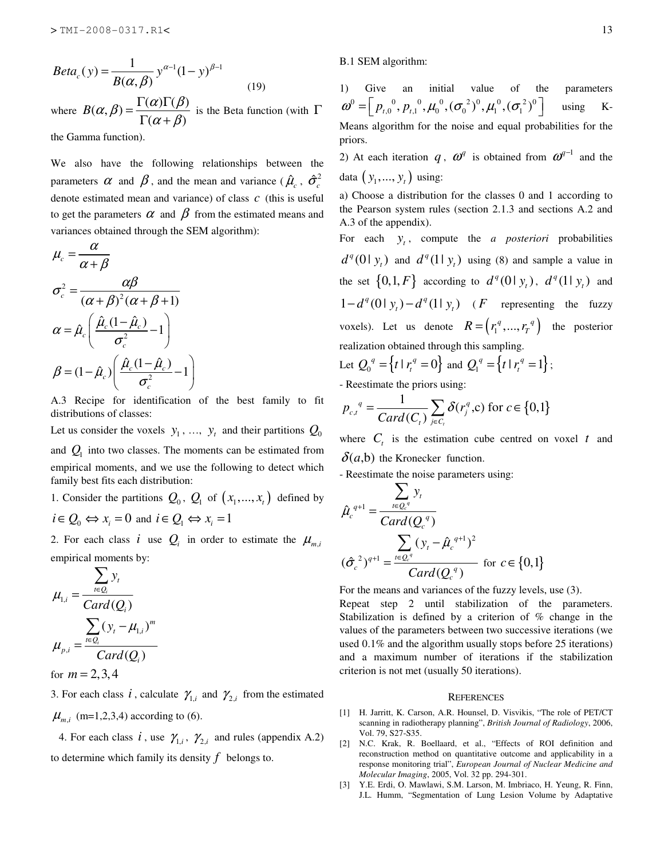$$
Beta_c(y) = \frac{1}{B(\alpha, \beta)} y^{\alpha-1} (1-y)^{\beta-1}
$$
  
(19)  
where  $B(\alpha, \beta) = \frac{\Gamma(\alpha)\Gamma(\beta)}{\Gamma(\alpha+\beta)}$  is the Beta function (with  $\Gamma$   
the Gamma function).

We also have the following relationships between the parameters  $\alpha$  and  $\beta$ , and the mean and variance ( $\hat{\mu}_c$ ,  $\hat{\sigma}_c^2$ denote estimated mean and variance) of class *c* (this is useful to get the parameters  $\alpha$  and  $\beta$  from the estimated means and variances obtained through the SEM algorithm):

$$
\mu_c = \frac{\alpha}{\alpha + \beta}
$$
\n
$$
\sigma_c^2 = \frac{\alpha\beta}{(\alpha + \beta)^2 (\alpha + \beta + 1)}
$$
\n
$$
\alpha = \hat{\mu}_c \left( \frac{\hat{\mu}_c (1 - \hat{\mu}_c)}{\sigma_c^2} - 1 \right)
$$
\n
$$
\beta = (1 - \hat{\mu}_c) \left( \frac{\hat{\mu}_c (1 - \hat{\mu}_c)}{\sigma_c^2} - 1 \right)
$$

A.3 Recipe for identification of the best family to fit distributions of classes:

Let us consider the voxels  $y_1, ..., y_t$  and their partitions  $Q_0$ and  $Q<sub>1</sub>$  into two classes. The moments can be estimated from empirical moments, and we use the following to detect which family best fits each distribution:

1. Consider the partitions  $Q_0$ ,  $Q_1$  of  $(x_1,...,x_t)$  defined by  $i \in Q_0 \Leftrightarrow x_i = 0$  and  $i \in Q_1 \Leftrightarrow x_i = 1$ 

2. For each class *i* use  $Q_i$  in order to estimate the  $\mu_{m,i}$ empirical moments by:

$$
\mu_{1,i} = \frac{\sum_{t \in Q_i} y_t}{Card(Q_i)}
$$

$$
\mu_{p,i} = \frac{\sum_{t \in Q_i} (y_t - \mu_{1,i})^m}{Card(Q_i)}
$$

for  $m = 2, 3, 4$ 

3. For each class *i*, calculate  $\gamma_{1,i}$  and  $\gamma_{2,i}$  from the estimated  $\mu_{m,i}$  (m=1,2,3,4) according to (6).

4. For each class *i*, use  $\gamma_{1,i}$ ,  $\gamma_{2,i}$  and rules (appendix A.2) to determine which family its density *f* belongs to.

B.1 SEM algorithm:

Give an initial value of the parameters  $\boldsymbol{\omega}^{0} = \left[ p_{t,0}^{0}, p_{t,1}^{0}, \mu_0^{0}, (\sigma_0^{2})^{0}, \mu_1^{0}, (\sigma_1^{2})^{0} \right]$  using K-Means algorithm for the noise and equal probabilities for the priors.

2) At each iteration  $q$ ,  $\omega^q$  is obtained from  $\omega^{q-1}$  and the data  $(y_1, ..., y_t)$  using:

a) Choose a distribution for the classes 0 and 1 according to the Pearson system rules (section 2.1.3 and sections A.2 and A.3 of the appendix).

For each  $y_t$ , compute the *a posteriori* probabilities  $d^q(0 | y_t)$  and  $d^q(1 | y_t)$  using (8) and sample a value in the set  $\{0, 1, F\}$  according to  $d^q(0 | y_t)$ ,  $d^q(1 | y_t)$  and  $1 - d^q (0 | y_t) - d^q (1 | y_t)$  (*F* representing the fuzzy voxels). Let us denote  $R = (r_1^q, ..., r_T^q)$  the posterior realization obtained through this sampling.

Let 
$$
Q_0^q = \{t | r_t^q = 0\}
$$
 and  $Q_1^q = \{t | r_t^q = 1\}$ ;

- Reestimate the priors using:

$$
p_{c,t}^{q} = \frac{1}{Card(C_t)} \sum_{j \in C_t} \delta(r_j^{q}, c) \text{ for } c \in \{0, 1\}
$$

where  $C_t$  is the estimation cube centred on voxel  $t$  and  $\delta(a,b)$  the Kronecker function.

- Reestimate the noise parameters using:

$$
\hat{\mu}_c^{q+1} = \frac{\sum_{t \in Q_c^q} y_t}{Card(Q_c^q)}
$$
\n
$$
(\hat{\sigma}_c^2)^{q+1} = \frac{\sum_{t \in Q_c^q} (y_t - \hat{\mu}_c^{q+1})^2}{Card(Q_c^q)} \text{ for } c \in \{0,1\}
$$

For the means and variances of the fuzzy levels, use (3). Repeat step 2 until stabilization of the parameters. Stabilization is defined by a criterion of % change in the values of the parameters between two successive iterations (we used 0.1% and the algorithm usually stops before 25 iterations) and a maximum number of iterations if the stabilization criterion is not met (usually 50 iterations).

# **REFERENCES**

- [1] H. Jarritt, K. Carson, A.R. Hounsel, D. Visvikis, "The role of PET/CT scanning in radiotherapy planning", *British Journal of Radiology*, 2006, Vol. 79, S27-S35.
- [2] N.C. Krak, R. Boellaard, et al., "Effects of ROI definition and reconstruction method on quantitative outcome and applicability in a response monitoring trial", *European Journal of Nuclear Medicine and Molecular Imaging*, 2005, Vol. 32 pp. 294-301.
- [3] Y.E. Erdi, O. Mawlawi, S.M. Larson, M. Imbriaco, H. Yeung, R. Finn, J.L. Humm, "Segmentation of Lung Lesion Volume by Adaptative